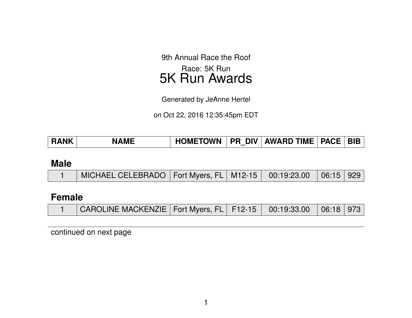9th Annual Race the Roof Race: 5K Run 5K Run Awards

Generated by JeAnne Hertel

on Oct 22, 2016 12:35:45pm EDT

| <b>RANK</b> | <b>NAME</b> | <b>HOMETOWN</b> |  | <b>PR DIV AWARD TIME</b> | <b>PACE</b> | <b>BIB</b> |
|-------------|-------------|-----------------|--|--------------------------|-------------|------------|
|-------------|-------------|-----------------|--|--------------------------|-------------|------------|

#### **Male**

|  | $\,$ MICHAEL CELEBRADO $\,$ Fort Myers, FL $\,$ M12-15 $\,$ 00:19:23.00 $\,$ 06:15 $\,$ 929 $\,$ |  |  |  |  |  |
|--|--------------------------------------------------------------------------------------------------|--|--|--|--|--|
|--|--------------------------------------------------------------------------------------------------|--|--|--|--|--|

# **Female**

| CAROLINE MACKENZIE   Fort Myers, FL   F12-15   00:19:33.00   06:18   973 |  |  |  |
|--------------------------------------------------------------------------|--|--|--|
|                                                                          |  |  |  |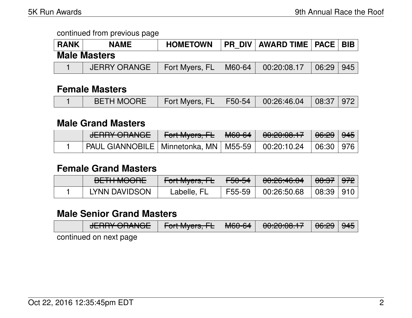| <b>RANK</b> | <b>NAME</b>         | <b>HOMETOWN</b> |        | <b>PR DIV AWARD TIME   PACE  </b> |       | <b>BIB</b> |
|-------------|---------------------|-----------------|--------|-----------------------------------|-------|------------|
|             | <b>Male Masters</b> |                 |        |                                   |       |            |
|             | <b>JERRY ORANGE</b> | Fort Myers, FL  | M60-64 | 00:20:08.17                       | 06:29 | 945        |

### **Female Masters**

|  | BETH MOORE   Fort Myers, FL   F50-54   00:26:46.04   08:37   972 |  |  |  |  |  |
|--|------------------------------------------------------------------|--|--|--|--|--|
|--|------------------------------------------------------------------|--|--|--|--|--|

#### **Male Grand Masters**

| J                                                                     | N <del>Fort Myers, FL</del> │ <del>M60-64</del> N | 0.0000017<br>7 UU ZU JUU TT |  |
|-----------------------------------------------------------------------|---------------------------------------------------|-----------------------------|--|
| PAUL GIANNOBILE   Minnetonka, MN   M55-59   00:20:10.24   06:30   976 |                                                   |                             |  |

### **Female Grand Masters**

| DETLI MOODE<br><b>DLITTINOUTE</b> | <del>Fort Myers, FL</del> | $\sqrt{50.54}$ | 0.00.001<br>᠊ᠸ <del>ᡳᠣᡵ᠐ᢑᡏ</del> ᠣᠷᠣᠲ | <del>08:37</del> ∣ <del>972</del> ∣ |  |
|-----------------------------------|---------------------------|----------------|---------------------------------------|-------------------------------------|--|
| LYNN DAVIDSON                     | Labelle, FL               |                | F55-59 │ 00:26:50.68 │08:39 │910 │ │  |                                     |  |

## **Male Senior Grand Masters**

| $I$ $\Gamma$ $\Gamma$ $\Gamma$ $\Gamma$ $\Gamma$ $\Gamma$ $\Gamma$ $\Gamma$ $\Gamma$<br>$\sigma$ | $\Gamma$<br>ाणाणिपृष्टाऊ, TE   लिएएन्एम | MCACA | 99-20:00.17 06:29 |  |
|--------------------------------------------------------------------------------------------------|-----------------------------------------|-------|-------------------|--|
|                                                                                                  |                                         |       |                   |  |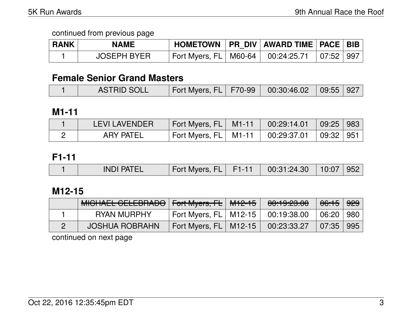| <b>RANK</b> | <b>NAME</b>        |                                                     | HOMETOWN   PR DIV   AWARD TIME   PACE   BIB |  |
|-------------|--------------------|-----------------------------------------------------|---------------------------------------------|--|
|             | <b>JOSEPH BYER</b> | Fort Myers, FL   M60-64   00:24:25.71   07:52   997 |                                             |  |

## **Female Senior Grand Masters**

|  | <b>ASTRID SOLL</b> | Fort Myers, FL   F70-99   00:30:46.02   09:55   927 |  |  |  |  |
|--|--------------------|-----------------------------------------------------|--|--|--|--|
|--|--------------------|-----------------------------------------------------|--|--|--|--|

### **M1-11**

| <b>LEVI LAVENDER</b> | Fort Myers, FL   M1-11   00:29:14.01   09:25   983 |  |  |
|----------------------|----------------------------------------------------|--|--|
| <b>ARY PATEL</b>     | Fort Myers, FL   M1-11   00:29:37.01   09:32   951 |  |  |

## **F1-11**

|  | <b>INDI PATEL</b> | Fort Myers, FL | F <sub>1-11</sub> | 00:31:24.30 | $10:07 \mid 952$ |  |
|--|-------------------|----------------|-------------------|-------------|------------------|--|
|--|-------------------|----------------|-------------------|-------------|------------------|--|

# **M12-15**

| MICHAEL CELEBRADO   Fort Myers, FL   M12-15 |                                       | <del>00:19:23.00</del> | <del>06:15</del>   <del>929</del> |  |
|---------------------------------------------|---------------------------------------|------------------------|-----------------------------------|--|
| RYAN MURPHY                                 | Fort Myers, FL   M12-15   00:19:38.00 |                        | $\mid$ 06:20 $\mid$ 980 $\mid$    |  |
| <b>JOSHUA ROBRAHN</b>                       | Fort Myers, FL   M12-15   00:23:33.27 |                        | $\mid$ 07:35 $\mid$ 995 $\mid$    |  |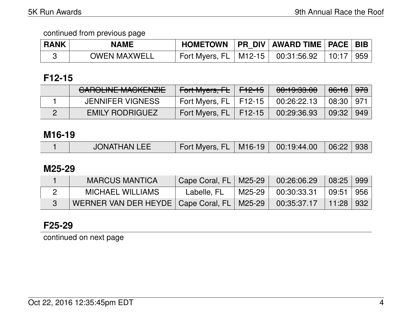| <b>RANK</b> | <b>NAME</b>         |                                       | HOMETOWN   PR DIV   AWARD TIME   PACE   BIB |                           |  |
|-------------|---------------------|---------------------------------------|---------------------------------------------|---------------------------|--|
|             | <b>OWEN MAXWELL</b> | Fort Myers, FL   M12-15   00:31:56.92 |                                             | $\vert$ 10:17 $\vert$ 959 |  |

# **F12-15**

| CADOLINIE MACIZENIZIE<br><b>UAINULINE MAUNENAIE</b> | <del>Fort Myers, FL</del> F <del>12-15</del> | 00:19:33.00 | <del>06:18</del>   <del>973</del> |  |
|-----------------------------------------------------|----------------------------------------------|-------------|-----------------------------------|--|
| <b>JENNIFER VIGNESS</b>                             | Fort Myers, $FL$   F12-15                    | 00:26:22.13 | 08:30   971                       |  |
| <b>EMILY RODRIGUEZ</b>                              | Fort Myers, FL   F12-15                      | 00:29:36.93 | 09:32   949                       |  |

### **M16-19**

|  | <b>JONATHAN LEE</b> | Fort Myers, FL   M16-19   00:19:44.00   06:22   938 |  |  |  |  |
|--|---------------------|-----------------------------------------------------|--|--|--|--|
|--|---------------------|-----------------------------------------------------|--|--|--|--|

## **M25-29**

| <b>MARCUS MANTICA</b>                                                      | Cape Coral, FL   M25-29 | 00:26:06.29          | $\mid$ 08:25 $\mid$ 999 $\mid$    |  |
|----------------------------------------------------------------------------|-------------------------|----------------------|-----------------------------------|--|
| <b>MICHAEL WILLIAMS</b>                                                    | Labelle, FL             | M25-29   00:30:33.31 | $\vert$ 09:51 $\vert$ 956 $\vert$ |  |
| WERNER VAN DER HEYDE   Cape Coral, FL   M25-29   00:35:37.17   11:28   932 |                         |                      |                                   |  |

# **F25-29**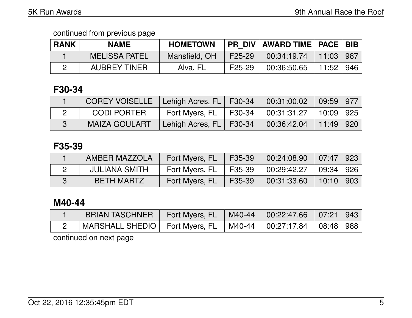| <b>RANK</b> | <b>NAME</b>          | <b>HOMETOWN</b> |                     | <b>PR DIV   AWARD TIME   PACE   BIB  </b> |                               |     |
|-------------|----------------------|-----------------|---------------------|-------------------------------------------|-------------------------------|-----|
|             | <b>MELISSA PATEL</b> | Mansfield, OH   | F <sub>25</sub> -29 | 00:34:19.74                               | $\parallel$ 11:03 $\parallel$ | 987 |
|             | <b>AUBREY TINER</b>  | Alva, FL        | F <sub>25</sub> -29 | 00:36:50.65                               | 11:52                         | 946 |

# **F30-34**

| COREY VOISELLE   Lehigh Acres, FL   F30-34 |                                                     |                                                                                        |  |
|--------------------------------------------|-----------------------------------------------------|----------------------------------------------------------------------------------------|--|
| CODI PORTER                                | Fort Myers, FL   F30-34   00:31:31.27   10:09   925 |                                                                                        |  |
| <b>MAIZA GOULART</b>                       | Lehigh Acres, FL   F30-34                           | $\begin{array}{ c c c c c c c c } \hline 00.36.42.04 & 11.49 & 920 \hline \end{array}$ |  |

# **F35-39**

| AMBER MAZZOLA     | Fort Myers, FL            | F35-39 | $\begin{array}{ c c c c c c c c } \hline 00:24:08.90 & 07:47 & 923 \hline \end{array}$ |                 |  |
|-------------------|---------------------------|--------|----------------------------------------------------------------------------------------|-----------------|--|
| JULIANA SMITH     | Fort Myers, $FL$   F35-39 |        |                                                                                        | ∣ 09:34 ∣ 926 ∣ |  |
| <b>BETH MARTZ</b> | Fort Myers, FL            | F35-39 | 00:31:33.60                                                                            | 10:10 903       |  |

# **M40-44**

| MARSHALL SHEDIO   Fort Myers, FL   M40-44   00:27:17.84   08:48   988 | BRIAN TASCHNER   Fort Myers, FL   M40-44   00:22:47.66   07:21   943 |  |  |  |
|-----------------------------------------------------------------------|----------------------------------------------------------------------|--|--|--|
|                                                                       |                                                                      |  |  |  |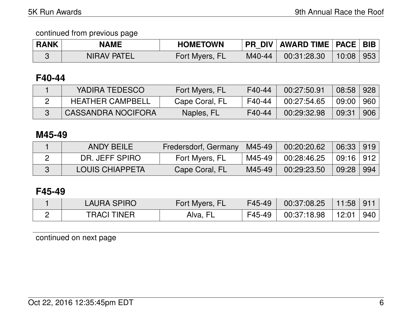| <b>RANK</b> | <b>NAME</b>        | <b>HOMETOWN</b> |          | <b>PR DIV   AWARD TIME   PACE   BIB</b> |           |  |
|-------------|--------------------|-----------------|----------|-----------------------------------------|-----------|--|
|             | <b>NIRAV PATEL</b> | Fort Myers, FL  | $M40-44$ | 00:31:28.30                             | 10:08 953 |  |

## **F40-44**

| YADIRA TEDESCO            | Fort Myers, FL | F40-44 | 00:27:50.91 | 08:58 928 |     |
|---------------------------|----------------|--------|-------------|-----------|-----|
| <b>HEATHER CAMPBELL</b>   | Cape Coral, FL | F40-44 | 00:27:54.65 | 09:00 960 |     |
| <b>CASSANDRA NOCIFORA</b> | Naples, FL     | F40-44 | 00:29:32.98 | 09:31     | 906 |

## **M45-49**

| <b>ANDY BEILE</b>      | Fredersdorf, Germany   M45-49 |          | 00:20:20.62 | $06:33$   919 |            |
|------------------------|-------------------------------|----------|-------------|---------------|------------|
| DR. JEFF SPIRO         | Fort Myers, FL                | M45-49 I | 00:28:46.25 | 09:16 912     |            |
| <b>LOUIS CHIAPPETA</b> | Cape Coral, FL                | M45-49   | 00:29:23.50 | 09:28         | $\mid$ 994 |

# **F45-49**

| <b>LAURA SPIRO</b> | Fort Myers, FL | F45-49 | 00:37:08.25 | 11:58 911 |     |
|--------------------|----------------|--------|-------------|-----------|-----|
| <b>TRACI TINER</b> | Alva, FL       | F45-49 | 00:37:18.98 | $+12:01$  | 940 |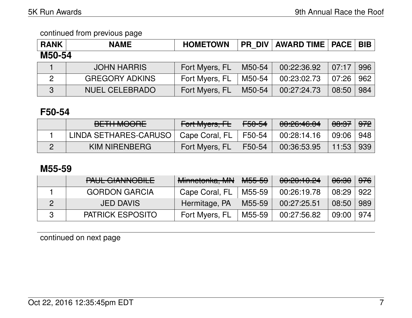| <b>RANK</b>   | <b>NAME</b>           | <b>HOMETOWN</b> | <b>PR DIV</b> | AWARD TIME   PACE   BIB |       |     |
|---------------|-----------------------|-----------------|---------------|-------------------------|-------|-----|
| M50-54        |                       |                 |               |                         |       |     |
|               | <b>JOHN HARRIS</b>    | Fort Myers, FL  | M50-54        | 00:22:36.92             | 07:17 | 996 |
| $\mathcal{P}$ | <b>GREGORY ADKINS</b> | Fort Myers, FL  | M50-54        | 00:23:02.73             | 07:26 | 962 |
| 3             | <b>NUEL CELEBRADO</b> | Fort Myers, FL  | M50-54        | 00:27:24.73             | 08:50 | 984 |

# **F50-54**

| <b>DETILMOODE</b><br><b>DETITIVIOURE</b> | Fort Myers, FL | <del>F50-54</del> | 00:26:46.04 | <del>08:37</del> | $\frac{972}{5}$ |
|------------------------------------------|----------------|-------------------|-------------|------------------|-----------------|
| LINDA SETHARES-CARUSO                    | Cape Coral, FL | F50-54            | 00:28:14.16 | 09:06   948      |                 |
| KIM NIRENBERG                            | Fort Myers, FL | F50-54            | 00:36:53.95 | $-11:53$         | ∣939            |

## **M55-59**

| PAUL GIANNOBILE         | Minnetonka, MN | <b>M55-59</b> | 00:20:10.24 | <del>06:30</del> | <del>976</del> |
|-------------------------|----------------|---------------|-------------|------------------|----------------|
| <b>GORDON GARCIA</b>    | Cape Coral, FL | M55-59        | 00:26:19.78 | 08:29            | 922            |
| <b>JED DAVIS</b>        | Hermitage, PA  | M55-59        | 00:27:25.51 | 08:50            | 989            |
| <b>PATRICK ESPOSITO</b> | Fort Myers, FL | M55-59        | 00:27:56.82 | 09:00            | 974            |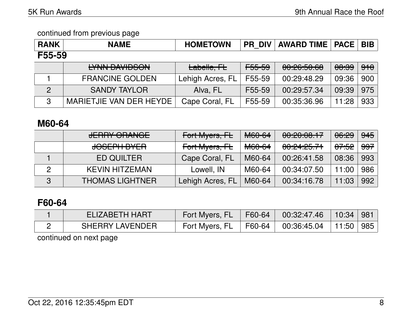| <b>RANK</b>    | <b>NAME</b>                                         | <b>HOMETOWN</b>  | <b>PR DIV</b>     | <b>AWARD TIME   PACE</b>        |                  | <b>BIB</b> |  |
|----------------|-----------------------------------------------------|------------------|-------------------|---------------------------------|------------------|------------|--|
| F55-59         |                                                     |                  |                   |                                 |                  |            |  |
|                | <u>IVAINI DAVIIDOONI</u><br><b>LITNIY DAVIDOOIY</b> | Labelle, FL      | <del>F55-59</del> | 0.0055000<br><u>UU.CU.JU.UU</u> | <del>08:39</del> | 910        |  |
|                | <b>FRANCINE GOLDEN</b>                              | Lehigh Acres, FL | F55-59            | 00:29:48.29                     | 09:36            | 900        |  |
| $\overline{2}$ | <b>SANDY TAYLOR</b>                                 | Alva, FL         | F55-59            | 00:29:57.34                     | 09:39            | 975        |  |
| 3              | MARIETJIE VAN DER HEYDE                             | Cape Coral, FL   | F55-59            | 00:35:36.96                     | 11:28            | 933        |  |

# **M60-64**

|   | <b>JERRY ORANGE</b>                             | Fort Myers, FL   | M60-64            | 00:20:00.17            | 06:29            | <del>945</del> |
|---|-------------------------------------------------|------------------|-------------------|------------------------|------------------|----------------|
|   | <u>IAAFNII DVFD</u><br><del>JUJLITTI DTEN</del> | Fort Myers, FL   | <del>M60-64</del> | <del>00:24:25.71</del> | <del>07:52</del> | <del>997</del> |
|   | <b>ED QUILTER</b>                               | Cape Coral, FL   | M60-64            | 00:26:41.58            | 08:36            | 993            |
|   | <b>KEVIN HITZEMAN</b>                           | Lowell, IN       | M60-64            | 00:34:07.50            | 11:00            | 986            |
| 3 | <b>THOMAS LIGHTNER</b>                          | Lehigh Acres, FL | M60-64            | 00:34:16.78            | 11:03            | 992            |

# **F60-64**

| ELIZABETH HART         | Fort Myers, FL F60-64                 | $\begin{array}{cc} 00:32:47.46 \end{array}$ | │ 10:34 │ 981 │ |  |
|------------------------|---------------------------------------|---------------------------------------------|-----------------|--|
| <b>SHERRY LAVENDER</b> | Fort Myers, FL   F60-64   00:36:45.04 |                                             | │ 11:50 │ 985 │ |  |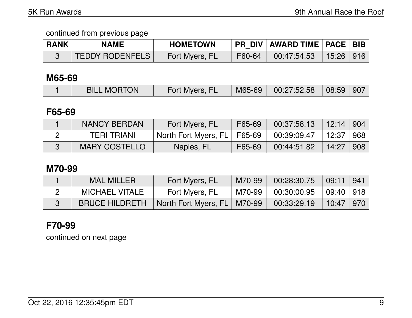| <b>RANK</b> | <b>NAME</b>            | <b>HOMETOWN</b> |        | <b>PR DIV AWARD TIME   PACE   BIB  </b> |  |
|-------------|------------------------|-----------------|--------|-----------------------------------------|--|
|             | <b>TEDDY RODENFELS</b> | Fort Myers, FL  | F60-64 | 00:47:54.53 ∣15:26 ∣916 ∣               |  |

### **M65-69**

| <b>BILL MORTON</b> | Fort Myers, FL | $\mid$ M65-69 $\mid$ | $\begin{array}{ c c c c c }\ \hline \text{00:27:52.58} & \text{08:59} & \text{907} \end{array}$ |  |
|--------------------|----------------|----------------------|-------------------------------------------------------------------------------------------------|--|

## **F65-69**

| <b>NANCY BERDAN</b>  | Fort Myers, FL                | F65-69 | 00:37:58.13 | 12:14   904 |     |
|----------------------|-------------------------------|--------|-------------|-------------|-----|
| <b>TERI TRIANI</b>   | North Fort Myers, FL   F65-69 |        | 00:39:09.47 | 12:37       | 968 |
| <b>MARY COSTELLO</b> | Naples, FL                    | F65-69 | 00:44:51.82 | 14:27'      | 908 |

# **M70-99**

| <b>MAL MILLER</b>     | Fort Myers, FL                | M70-99   | 00:28:30.75 | 09:11       | $\mid$ 941 $\mid$ |
|-----------------------|-------------------------------|----------|-------------|-------------|-------------------|
| MICHAEL VITALE        | Fort Myers, FL                | M70-99 l | 00:30:00.95 | 09:40   918 |                   |
| <b>BRUCE HILDRETH</b> | North Fort Myers, FL   M70-99 |          | 00:33:29.19 | 10:47   970 |                   |

# **F70-99**